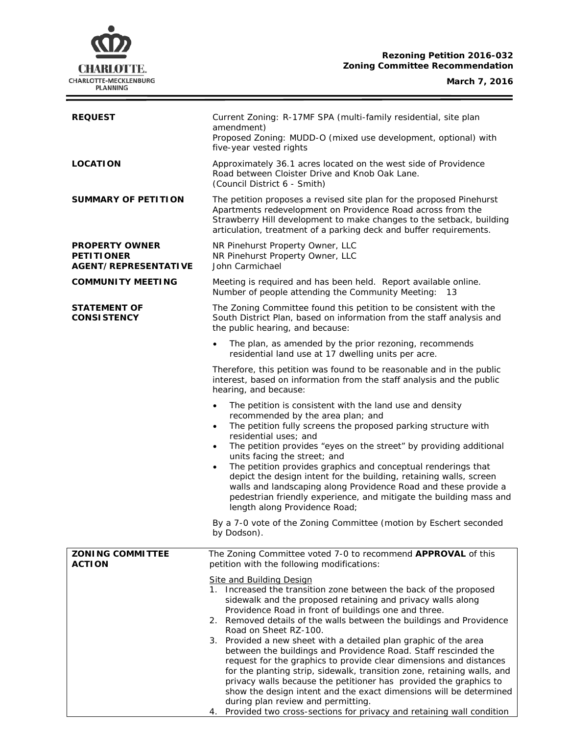# **Rezoning Petition 2016-032 Zoning Committee Recommendation**



i<br>L

| <b>REQUEST</b>                                                            | Current Zoning: R-17MF SPA (multi-family residential, site plan<br>amendment)<br>Proposed Zoning: MUDD-O (mixed use development, optional) with<br>five-year vested rights                                                                                                                                                                                                                                                                                                                                                                                                                                                                                                                                                                                                                                                                                                                                                                                                                    |  |  |
|---------------------------------------------------------------------------|-----------------------------------------------------------------------------------------------------------------------------------------------------------------------------------------------------------------------------------------------------------------------------------------------------------------------------------------------------------------------------------------------------------------------------------------------------------------------------------------------------------------------------------------------------------------------------------------------------------------------------------------------------------------------------------------------------------------------------------------------------------------------------------------------------------------------------------------------------------------------------------------------------------------------------------------------------------------------------------------------|--|--|
| <b>LOCATION</b>                                                           | Approximately 36.1 acres located on the west side of Providence<br>Road between Cloister Drive and Knob Oak Lane.<br>(Council District 6 - Smith)                                                                                                                                                                                                                                                                                                                                                                                                                                                                                                                                                                                                                                                                                                                                                                                                                                             |  |  |
| <b>SUMMARY OF PETITION</b>                                                | The petition proposes a revised site plan for the proposed Pinehurst<br>Apartments redevelopment on Providence Road across from the<br>Strawberry Hill development to make changes to the setback, building<br>articulation, treatment of a parking deck and buffer requirements.                                                                                                                                                                                                                                                                                                                                                                                                                                                                                                                                                                                                                                                                                                             |  |  |
| <b>PROPERTY OWNER</b><br><b>PETITIONER</b><br><b>AGENT/REPRESENTATIVE</b> | NR Pinehurst Property Owner, LLC<br>NR Pinehurst Property Owner, LLC<br>John Carmichael                                                                                                                                                                                                                                                                                                                                                                                                                                                                                                                                                                                                                                                                                                                                                                                                                                                                                                       |  |  |
| <b>COMMUNITY MEETING</b>                                                  | Meeting is required and has been held. Report available online.<br>Number of people attending the Community Meeting: 13                                                                                                                                                                                                                                                                                                                                                                                                                                                                                                                                                                                                                                                                                                                                                                                                                                                                       |  |  |
| <b>STATEMENT OF</b><br><b>CONSISTENCY</b>                                 | The Zoning Committee found this petition to be consistent with the<br>South District Plan, based on information from the staff analysis and<br>the public hearing, and because:                                                                                                                                                                                                                                                                                                                                                                                                                                                                                                                                                                                                                                                                                                                                                                                                               |  |  |
|                                                                           | The plan, as amended by the prior rezoning, recommends<br>$\bullet$<br>residential land use at 17 dwelling units per acre.                                                                                                                                                                                                                                                                                                                                                                                                                                                                                                                                                                                                                                                                                                                                                                                                                                                                    |  |  |
|                                                                           | Therefore, this petition was found to be reasonable and in the public<br>interest, based on information from the staff analysis and the public<br>hearing, and because:                                                                                                                                                                                                                                                                                                                                                                                                                                                                                                                                                                                                                                                                                                                                                                                                                       |  |  |
|                                                                           | The petition is consistent with the land use and density<br>$\bullet$<br>recommended by the area plan; and<br>The petition fully screens the proposed parking structure with<br>$\bullet$<br>residential uses; and<br>The petition provides "eyes on the street" by providing additional<br>$\bullet$<br>units facing the street; and<br>The petition provides graphics and conceptual renderings that<br>$\bullet$<br>depict the design intent for the building, retaining walls, screen<br>walls and landscaping along Providence Road and these provide a<br>pedestrian friendly experience, and mitigate the building mass and<br>length along Providence Road;                                                                                                                                                                                                                                                                                                                           |  |  |
|                                                                           | By a 7-0 vote of the Zoning Committee (motion by Eschert seconded<br>by Dodson).                                                                                                                                                                                                                                                                                                                                                                                                                                                                                                                                                                                                                                                                                                                                                                                                                                                                                                              |  |  |
| <b>ZONING COMMITTEE</b><br><b>ACTION</b>                                  | The Zoning Committee voted 7-0 to recommend APPROVAL of this<br>petition with the following modifications:<br><b>Site and Building Design</b><br>1. Increased the transition zone between the back of the proposed<br>sidewalk and the proposed retaining and privacy walls along<br>Providence Road in front of buildings one and three.<br>2. Removed details of the walls between the buildings and Providence<br>Road on Sheet RZ-100.<br>3. Provided a new sheet with a detailed plan graphic of the area<br>between the buildings and Providence Road. Staff rescinded the<br>request for the graphics to provide clear dimensions and distances<br>for the planting strip, sidewalk, transition zone, retaining walls, and<br>privacy walls because the petitioner has provided the graphics to<br>show the design intent and the exact dimensions will be determined<br>during plan review and permitting.<br>4. Provided two cross-sections for privacy and retaining wall condition |  |  |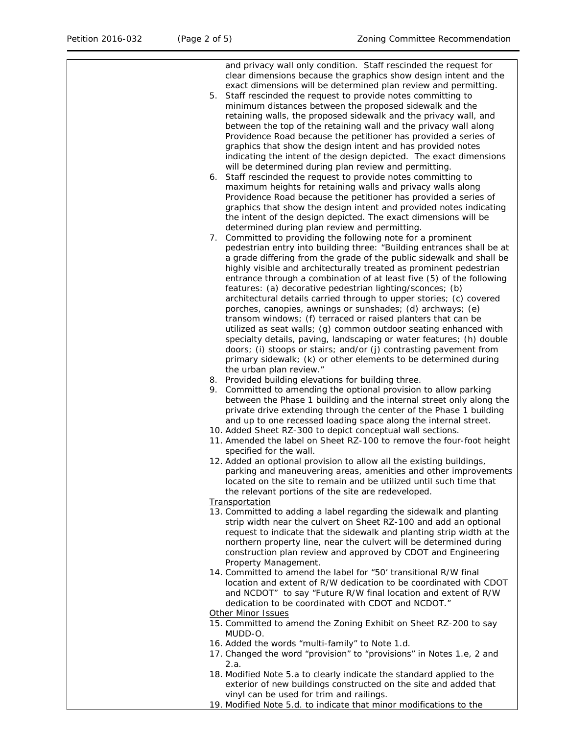and privacy wall only condition. Staff rescinded the request for clear dimensions because the graphics show design intent and the exact dimensions will be determined plan review and permitting. 5. Staff rescinded the request to provide notes committing to minimum distances between the proposed sidewalk and the retaining walls, the proposed sidewalk and the privacy wall, and between the top of the retaining wall and the privacy wall along Providence Road because the petitioner has provided a series of graphics that show the design intent and has provided notes indicating the intent of the design depicted. The exact dimensions will be determined during plan review and permitting. 6. Staff rescinded the request to provide notes committing to maximum heights for retaining walls and privacy walls along Providence Road because the petitioner has provided a series of graphics that show the design intent and provided notes indicating the intent of the design depicted. The exact dimensions will be determined during plan review and permitting. 7. Committed to providing the following note for a prominent pedestrian entry into building three: "Building entrances shall be at a grade differing from the grade of the public sidewalk and shall be highly visible and architecturally treated as prominent pedestrian entrance through a combination of at least five (5) of the following features: (a) decorative pedestrian lighting/sconces; (b) architectural details carried through to upper stories; (c) covered porches, canopies, awnings or sunshades; (d) archways; (e) transom windows; (f) terraced or raised planters that can be utilized as seat walls; (g) common outdoor seating enhanced with specialty details, paving, landscaping or water features; (h) double doors; (i) stoops or stairs; and/or (j) contrasting pavement from primary sidewalk; (k) or other elements to be determined during the urban plan review." 8. Provided building elevations for building three. 9. Committed to amending the optional provision to allow parking between the Phase 1 building and the internal street only along the private drive extending through the center of the Phase 1 building and up to one recessed loading space along the internal street. 10. Added Sheet RZ-300 to depict conceptual wall sections. 11. Amended the label on Sheet RZ-100 to remove the four-foot height specified for the wall. 12. Added an optional provision to allow all the existing buildings, parking and maneuvering areas, amenities and other improvements located on the site to remain and be utilized until such time that the relevant portions of the site are redeveloped. **Transportation** 13. Committed to adding a label regarding the sidewalk and planting strip width near the culvert on Sheet RZ-100 and add an optional request to indicate that the sidewalk and planting strip width at the northern property line, near the culvert will be determined during construction plan review and approved by CDOT and Engineering Property Management. 14. Committed to amend the label for "50' transitional R/W final location and extent of R/W dedication to be coordinated with CDOT and NCDOT" to say "Future R/W final location and extent of R/W dedication to be coordinated with CDOT and NCDOT." Other Minor Issues 15. Committed to amend the Zoning Exhibit on Sheet RZ-200 to say MUDD-O. 16. Added the words "multi-family" to Note 1.d. 17. Changed the word "provision" to "provisions" in Notes 1.e, 2 and  $2a$ 18. Modified Note 5.a to clearly indicate the standard applied to the exterior of new buildings constructed on the site and added that

vinyl can be used for trim and railings. 19. Modified Note 5.d. to indicate that minor modifications to the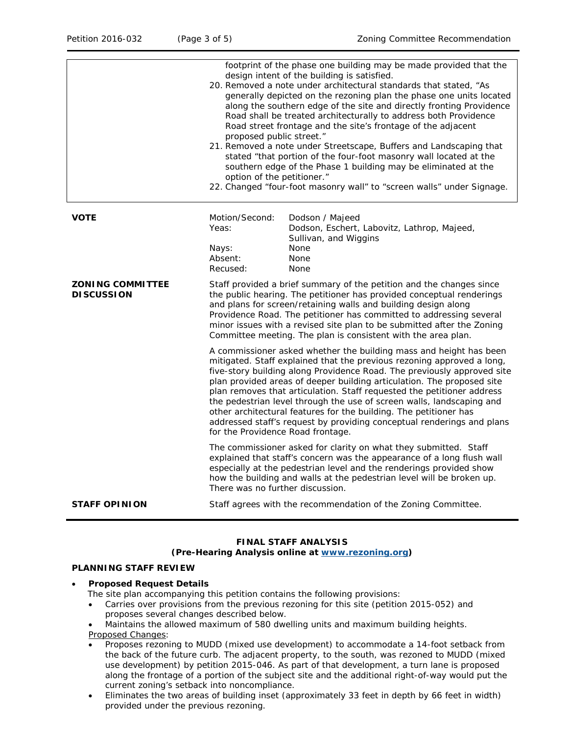|                                              | footprint of the phase one building may be made provided that the<br>design intent of the building is satisfied.<br>20. Removed a note under architectural standards that stated, "As<br>generally depicted on the rezoning plan the phase one units located<br>along the southern edge of the site and directly fronting Providence<br>Road shall be treated architecturally to address both Providence<br>Road street frontage and the site's frontage of the adjacent<br>proposed public street."<br>21. Removed a note under Streetscape, Buffers and Landscaping that<br>stated "that portion of the four-foot masonry wall located at the<br>southern edge of the Phase 1 building may be eliminated at the<br>option of the petitioner."<br>22. Changed "four-foot masonry wall" to "screen walls" under Signage. |                                                                                                                                                                                                                                                                                                                                                                                                                                   |  |
|----------------------------------------------|--------------------------------------------------------------------------------------------------------------------------------------------------------------------------------------------------------------------------------------------------------------------------------------------------------------------------------------------------------------------------------------------------------------------------------------------------------------------------------------------------------------------------------------------------------------------------------------------------------------------------------------------------------------------------------------------------------------------------------------------------------------------------------------------------------------------------|-----------------------------------------------------------------------------------------------------------------------------------------------------------------------------------------------------------------------------------------------------------------------------------------------------------------------------------------------------------------------------------------------------------------------------------|--|
| <b>VOTE</b>                                  | Motion/Second:<br>Yeas:<br>Nays:<br>Absent:<br>Recused:                                                                                                                                                                                                                                                                                                                                                                                                                                                                                                                                                                                                                                                                                                                                                                  | Dodson / Majeed<br>Dodson, Eschert, Labovitz, Lathrop, Majeed,<br>Sullivan, and Wiggins<br>None<br>None<br>None                                                                                                                                                                                                                                                                                                                   |  |
| <b>ZONING COMMITTEE</b><br><b>DISCUSSION</b> |                                                                                                                                                                                                                                                                                                                                                                                                                                                                                                                                                                                                                                                                                                                                                                                                                          | Staff provided a brief summary of the petition and the changes since<br>the public hearing. The petitioner has provided conceptual renderings<br>and plans for screen/retaining walls and building design along<br>Providence Road. The petitioner has committed to addressing several<br>minor issues with a revised site plan to be submitted after the Zoning<br>Committee meeting. The plan is consistent with the area plan. |  |
|                                              | A commissioner asked whether the building mass and height has been<br>mitigated. Staff explained that the previous rezoning approved a long,<br>five-story building along Providence Road. The previously approved site<br>plan provided areas of deeper building articulation. The proposed site<br>plan removes that articulation. Staff requested the petitioner address<br>the pedestrian level through the use of screen walls, landscaping and<br>other architectural features for the building. The petitioner has<br>addressed staff's request by providing conceptual renderings and plans<br>for the Providence Road frontage.                                                                                                                                                                                 |                                                                                                                                                                                                                                                                                                                                                                                                                                   |  |
|                                              | The commissioner asked for clarity on what they submitted. Staff<br>explained that staff's concern was the appearance of a long flush wall<br>especially at the pedestrian level and the renderings provided show<br>how the building and walls at the pedestrian level will be broken up.<br>There was no further discussion.                                                                                                                                                                                                                                                                                                                                                                                                                                                                                           |                                                                                                                                                                                                                                                                                                                                                                                                                                   |  |
| <b>STAFF OPINION</b>                         |                                                                                                                                                                                                                                                                                                                                                                                                                                                                                                                                                                                                                                                                                                                                                                                                                          | Staff agrees with the recommendation of the Zoning Committee.                                                                                                                                                                                                                                                                                                                                                                     |  |

# **FINAL STAFF ANALYSIS (Pre-Hearing Analysis online at [www.rezoning.org\)](http://www.rezoning.org/)**

### **PLANNING STAFF REVIEW**

#### • **Proposed Request Details**

- The site plan accompanying this petition contains the following provisions:
- Carries over provisions from the previous rezoning for this site (petition 2015-052) and proposes several changes described below.
- Maintains the allowed maximum of 580 dwelling units and maximum building heights. Proposed Changes:
- Proposes rezoning to MUDD (mixed use development) to accommodate a 14-foot setback from the back of the future curb. The adjacent property, to the south, was rezoned to MUDD (mixed use development) by petition 2015-046. As part of that development, a turn lane is proposed along the frontage of a portion of the subject site and the additional right-of-way would put the current zoning's setback into noncompliance.
- Eliminates the two areas of building inset (approximately 33 feet in depth by 66 feet in width) provided under the previous rezoning.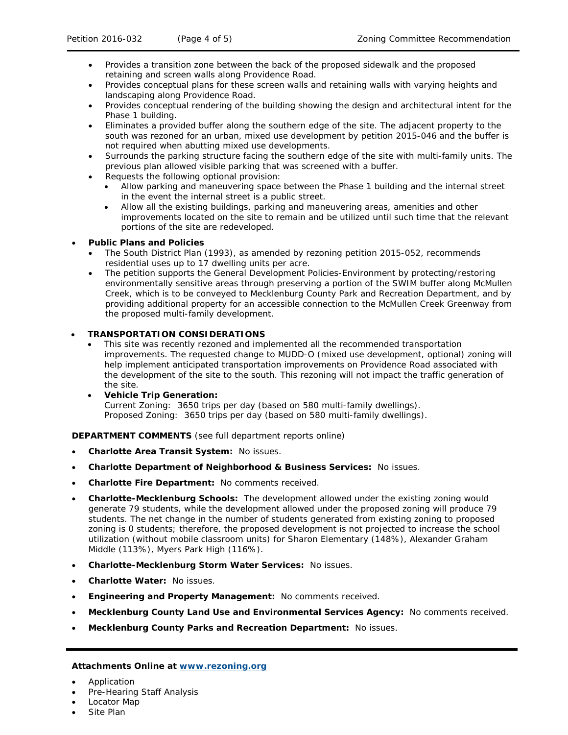- Provides a transition zone between the back of the proposed sidewalk and the proposed retaining and screen walls along Providence Road.
- Provides conceptual plans for these screen walls and retaining walls with varying heights and landscaping along Providence Road.
- Provides conceptual rendering of the building showing the design and architectural intent for the Phase 1 building.
- Eliminates a provided buffer along the southern edge of the site. The adjacent property to the south was rezoned for an urban, mixed use development by petition 2015-046 and the buffer is not required when abutting mixed use developments.
- Surrounds the parking structure facing the southern edge of the site with multi-family units. The previous plan allowed visible parking that was screened with a buffer.
- Requests the following optional provision:
	- Allow parking and maneuvering space between the Phase 1 building and the internal street in the event the internal street is a public street.
	- Allow all the existing buildings, parking and maneuvering areas, amenities and other improvements located on the site to remain and be utilized until such time that the relevant portions of the site are redeveloped.

### • **Public Plans and Policies**

- The *South District Plan* (1993), as amended by rezoning petition 2015-052, recommends residential uses up to 17 dwelling units per acre.
- The petition supports the General Development Policies-Environment by protecting/restoring environmentally sensitive areas through preserving a portion of the SWIM buffer along McMullen Creek, which is to be conveyed to Mecklenburg County Park and Recreation Department, and by providing additional property for an accessible connection to the McMullen Creek Greenway from the proposed multi-family development.

# • **TRANSPORTATION CONSIDERATIONS**

- This site was recently rezoned and implemented all the recommended transportation improvements. The requested change to MUDD-O (mixed use development, optional) zoning will help implement anticipated transportation improvements on Providence Road associated with the development of the site to the south. This rezoning will not impact the traffic generation of the site.
- **Vehicle Trip Generation:** Current Zoning: 3650 trips per day (based on 580 multi-family dwellings). Proposed Zoning: 3650 trips per day (based on 580 multi-family dwellings).

### **DEPARTMENT COMMENTS** (see full department reports online)

- **Charlotte Area Transit System:** No issues.
- **Charlotte Department of Neighborhood & Business Services:** No issues.
- **Charlotte Fire Department:** No comments received.
- **Charlotte-Mecklenburg Schools:** The development allowed under the existing zoning would generate 79 students, while the development allowed under the proposed zoning will produce 79 students. The net change in the number of students generated from existing zoning to proposed zoning is 0 students; therefore, the proposed development is not projected to increase the school utilization (without mobile classroom units) for Sharon Elementary (148%), Alexander Graham Middle (113%), Myers Park High (116%).
- **Charlotte-Mecklenburg Storm Water Services:** No issues.
- **Charlotte Water:** No issues.
- **Engineering and Property Management:** No comments received.
- **Mecklenburg County Land Use and Environmental Services Agency:** No comments received.
- **Mecklenburg County Parks and Recreation Department:** No issues.

### **Attachments Online at [www.rezoning.org](http://www.rezoning.org/)**

- Application
- Pre-Hearing Staff Analysis
- Locator Map
- Site Plan